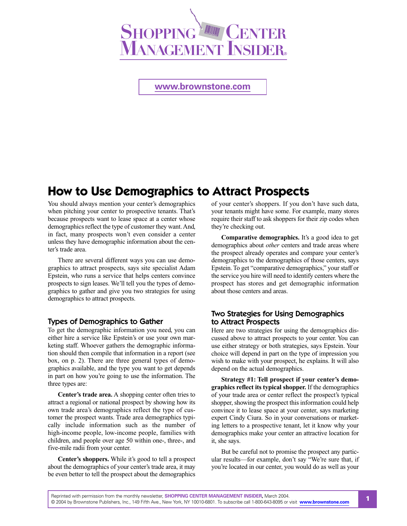

**<www.brownstone.com>**

# **How to Use Demographics to Attract Prospects**

You should always mention your center's demographics when pitching your center to prospective tenants. That's because prospects want to lease space at a center whose demographics reflect the type of customer they want. And, in fact, many prospects won't even consider a center unless they have demographic information about the center's trade area.

There are several different ways you can use demographics to attract prospects, says site specialist Adam Epstein, who runs a service that helps centers convince prospects to sign leases. We'll tell you the types of demographics to gather and give you two strategies for using demographics to attract prospects.

#### Types of Demographics to Gather

To get the demographic information you need, you can either hire a service like Epstein's or use your own marketing staff. Whoever gathers the demographic information should then compile that information in a report (see box, on p. 2). There are three general types of demographics available, and the type you want to get depends in part on how you're going to use the information. The three types are:

**Center's trade area.** A shopping center often tries to attract a regional or national prospect by showing how its own trade area's demographics reflect the type of customer the prospect wants. Trade area demographics typically include information such as the number of high-income people, low-income people, families with children, and people over age 50 within one-, three-, and five-mile radii from your center.

**Center's shoppers.** While it's good to tell a prospect about the demographics of your center's trade area, it may be even better to tell the prospect about the demographics

of your center's shoppers. If you don't have such data, your tenants might have some. For example, many stores require their staff to ask shoppers for their zip codes when they're checking out.

**Comparative demographics.** It's a good idea to get demographics about *other* centers and trade areas where the prospect already operates and compare your center's demographics to the demographics of those centers, says Epstein. To get "comparative demographics," your staff or the service you hire will need to identify centers where the prospect has stores and get demographic information about those centers and areas.

## Two Strategies for Using Demographics to Attract Prospects

Here are two strategies for using the demographics discussed above to attract prospects to your center. You can use either strategy or both strategies, says Epstein. Your choice will depend in part on the type of impression you wish to make with your prospect, he explains. It will also depend on the actual demographics.

**Strategy #1: Tell prospect if your center's demographics reflect its typical shopper.** If the demographics of your trade area or center reflect the prospect's typical shopper, showing the prospect this information could help convince it to lease space at your center, says marketing expert Cindy Ciura. So in your conversations or marketing letters to a prospective tenant, let it know why your demographics make your center an attractive location for it, she says.

But be careful not to promise the prospect any particular results—for example, don't say "We're sure that, if you're located in our center, you would do as well as your